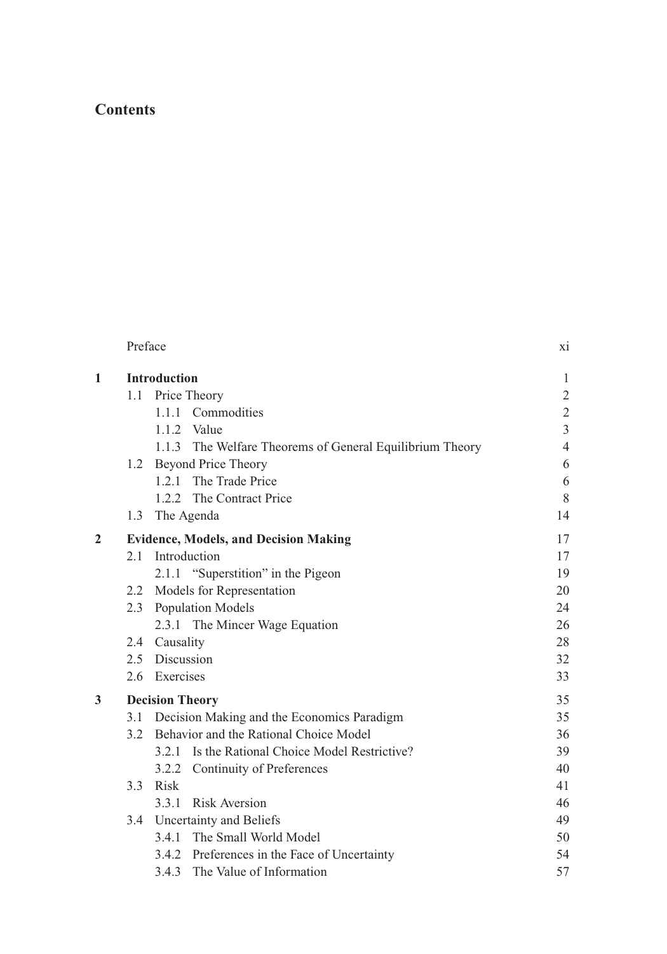## **Contents**

|                | Preface |                                                          | X1             |
|----------------|---------|----------------------------------------------------------|----------------|
| 1              |         | <b>Introduction</b>                                      | 1              |
|                | 1.1     | Price Theory                                             | $\overline{c}$ |
|                |         | 1.1.1 Commodities                                        | $\sqrt{2}$     |
|                |         | $1.1.2$ Value                                            | $\overline{3}$ |
|                |         | 1.1.3 The Welfare Theorems of General Equilibrium Theory | $\overline{4}$ |
|                |         | 1.2 Beyond Price Theory                                  | 6              |
|                |         | 1.2.1 The Trade Price                                    | 6              |
|                |         | 1.2.2 The Contract Price                                 | 8              |
|                | 1.3     | The Agenda                                               | 14             |
| $\overline{2}$ |         | <b>Evidence, Models, and Decision Making</b>             | 17             |
|                | 2.1     | Introduction                                             | 17             |
|                |         | 2.1.1 "Superstition" in the Pigeon                       | 19             |
|                |         | 2.2 Models for Representation                            | 20             |
|                |         | 2.3 Population Models                                    | 24             |
|                |         | 2.3.1 The Mincer Wage Equation                           | 26             |
|                |         | 2.4 Causality                                            | 28             |
|                |         | 2.5 Discussion                                           | 32             |
|                |         | 2.6 Exercises                                            | 33             |
| 3              |         | <b>Decision Theory</b>                                   | 35             |
|                |         | 3.1 Decision Making and the Economics Paradigm           | 35             |
|                |         | 3.2 Behavior and the Rational Choice Model               | 36             |
|                |         | 3.2.1 Is the Rational Choice Model Restrictive?          | 39             |
|                |         | 3.2.2 Continuity of Preferences                          | 40             |
|                | 3.3     | Risk                                                     | 41             |
|                |         | 3.3.1<br><b>Risk Aversion</b>                            | 46             |
|                |         | 3.4 Uncertainty and Beliefs                              | 49             |
|                |         | 3.4.1 The Small World Model                              | 50             |
|                |         | 3.4.2 Preferences in the Face of Uncertainty             | 54             |
|                |         | 3.4.3 The Value of Information                           | 57             |
|                |         |                                                          |                |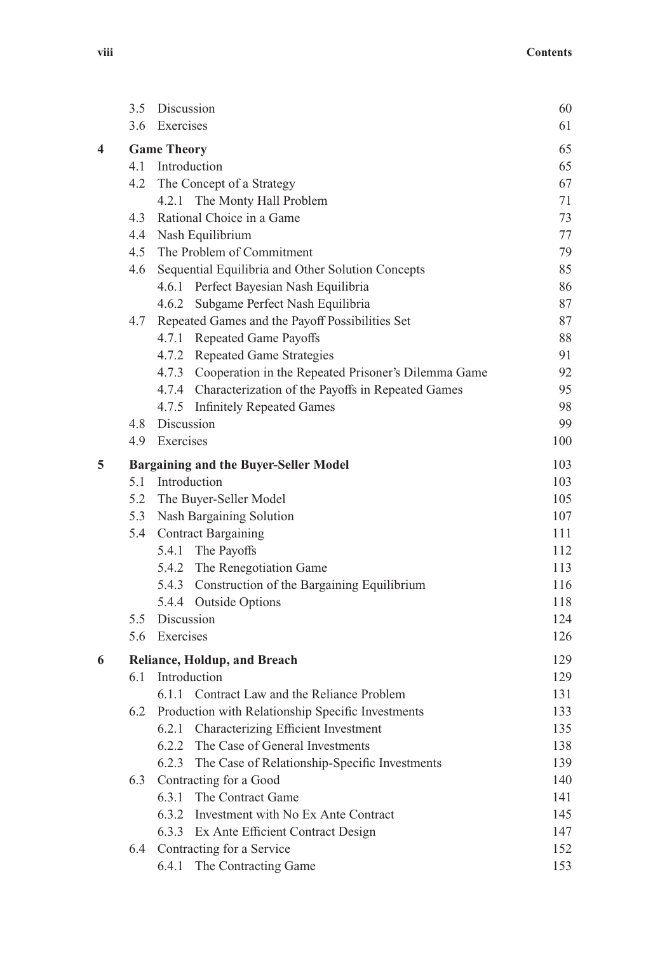|   | 3.5                                          | Discussion                                                | 60  |
|---|----------------------------------------------|-----------------------------------------------------------|-----|
|   |                                              | 3.6 Exercises                                             | 61  |
| 4 |                                              | <b>Game Theory</b>                                        | 65  |
|   |                                              | 4.1 Introduction                                          | 65  |
|   |                                              | 4.2 The Concept of a Strategy                             | 67  |
|   |                                              | 4.2.1 The Monty Hall Problem                              | 71  |
|   | 4.3                                          | Rational Choice in a Game                                 | 73  |
|   | 4.4                                          | Nash Equilibrium                                          | 77  |
|   |                                              | 4.5 The Problem of Commitment                             | 79  |
|   | 4.6                                          | Sequential Equilibria and Other Solution Concepts         | 85  |
|   |                                              | 4.6.1 Perfect Bayesian Nash Equilibria                    | 86  |
|   |                                              | 4.6.2 Subgame Perfect Nash Equilibria                     | 87  |
|   | 4.7                                          | Repeated Games and the Payoff Possibilities Set           | 87  |
|   |                                              | 4.7.1 Repeated Game Payoffs                               | 88  |
|   |                                              | 4.7.2 Repeated Game Strategies                            | 91  |
|   |                                              | 4.7.3 Cooperation in the Repeated Prisoner's Dilemma Game | 92  |
|   |                                              | 4.7.4 Characterization of the Payoffs in Repeated Games   | 95  |
|   |                                              | 4.7.5 Infinitely Repeated Games                           | 98  |
|   |                                              | 4.8 Discussion                                            | 99  |
|   | 4.9                                          | Exercises                                                 | 100 |
| 5 | <b>Bargaining and the Buyer-Seller Model</b> |                                                           |     |
|   |                                              | 5.1 Introduction                                          | 103 |
|   |                                              | 5.2 The Buyer-Seller Model                                | 105 |
|   |                                              | 5.3 Nash Bargaining Solution                              | 107 |
|   |                                              | 5.4 Contract Bargaining                                   | 111 |
|   |                                              | 5.4.1 The Payoffs                                         | 112 |
|   |                                              | 5.4.2 The Renegotiation Game                              | 113 |
|   |                                              | 5.4.3 Construction of the Bargaining Equilibrium          | 116 |
|   |                                              | 5.4.4 Outside Options                                     | 118 |
|   |                                              | 5.5 Discussion                                            | 124 |
|   |                                              | 5.6 Exercises                                             | 126 |
| 6 |                                              | Reliance, Holdup, and Breach                              | 129 |
|   | 6.1                                          | Introduction                                              | 129 |
|   |                                              | 6.1.1 Contract Law and the Reliance Problem               | 131 |
|   | 6.2                                          | Production with Relationship Specific Investments         | 133 |
|   |                                              | 6.2.1 Characterizing Efficient Investment                 | 135 |
|   |                                              | 6.2.2 The Case of General Investments                     | 138 |
|   |                                              | The Case of Relationship-Specific Investments<br>6.2.3    | 139 |
|   | 6.3                                          | Contracting for a Good                                    | 140 |
|   |                                              | 6.3.1<br>The Contract Game                                | 141 |
|   |                                              | 6.3.2 Investment with No Ex Ante Contract                 | 145 |
|   |                                              | 6.3.3 Ex Ante Efficient Contract Design                   | 147 |
|   | 6.4                                          | Contracting for a Service                                 | 152 |
|   |                                              | 6.4.1 The Contracting Game                                | 153 |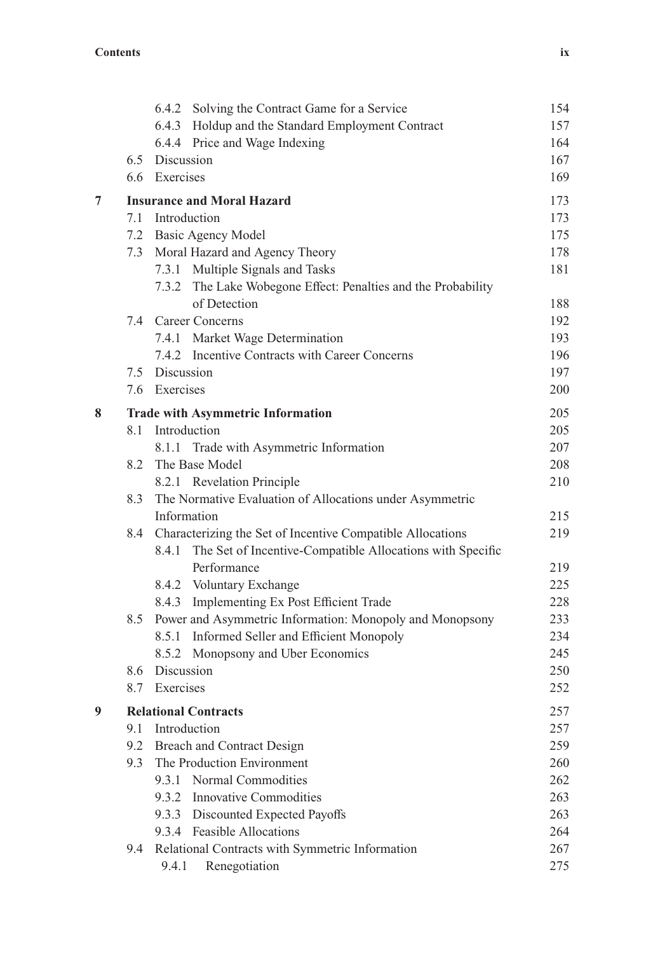|   |     | 6.4.2 Solving the Contract Game for a Service                      | 154 |
|---|-----|--------------------------------------------------------------------|-----|
|   |     | 6.4.3 Holdup and the Standard Employment Contract                  | 157 |
|   |     | 6.4.4 Price and Wage Indexing                                      | 164 |
|   |     | 6.5 Discussion                                                     | 167 |
|   |     | 6.6 Exercises                                                      | 169 |
| 7 |     | <b>Insurance and Moral Hazard</b>                                  | 173 |
|   |     | 7.1 Introduction                                                   | 173 |
|   |     | 7.2 Basic Agency Model                                             | 175 |
|   |     | 7.3 Moral Hazard and Agency Theory                                 | 178 |
|   |     | 7.3.1 Multiple Signals and Tasks                                   | 181 |
|   |     | 7.3.2 The Lake Wobegone Effect: Penalties and the Probability      |     |
|   |     | of Detection                                                       | 188 |
|   |     | 7.4 Career Concerns                                                | 192 |
|   |     | 7.4.1 Market Wage Determination                                    | 193 |
|   |     | 7.4.2 Incentive Contracts with Career Concerns                     | 196 |
|   |     | 7.5 Discussion                                                     | 197 |
|   |     | 7.6 Exercises                                                      | 200 |
| 8 |     | <b>Trade with Asymmetric Information</b>                           | 205 |
|   | 8.1 | Introduction                                                       | 205 |
|   |     | 8.1.1 Trade with Asymmetric Information                            | 207 |
|   | 8.2 | The Base Model                                                     | 208 |
|   |     | 8.2.1 Revelation Principle                                         | 210 |
|   | 8.3 | The Normative Evaluation of Allocations under Asymmetric           |     |
|   |     | Information                                                        | 215 |
|   | 8.4 | Characterizing the Set of Incentive Compatible Allocations         | 219 |
|   |     | The Set of Incentive-Compatible Allocations with Specific<br>8.4.1 |     |
|   |     | Performance                                                        | 219 |
|   |     | 8.4.2 Voluntary Exchange                                           | 225 |
|   |     | 8.4.3 Implementing Ex Post Efficient Trade                         | 228 |
|   | 8.5 | Power and Asymmetric Information: Monopoly and Monopsony           | 233 |
|   |     | 8.5.1 Informed Seller and Efficient Monopoly                       | 234 |
|   |     | 8.5.2 Monopsony and Uber Economics                                 | 245 |
|   |     | 8.6 Discussion                                                     | 250 |
|   | 8.7 | Exercises                                                          | 252 |
| 9 |     | <b>Relational Contracts</b>                                        | 257 |
|   | 9.1 | Introduction                                                       | 257 |
|   | 9.2 | Breach and Contract Design                                         | 259 |
|   | 9.3 | The Production Environment                                         | 260 |
|   |     | Normal Commodities<br>9.3.1                                        | 262 |
|   |     | 9.3.2 Innovative Commodities                                       | 263 |
|   |     | 9.3.3 Discounted Expected Payoffs                                  | 263 |
|   |     | 9.3.4 Feasible Allocations                                         | 264 |
|   | 9.4 | Relational Contracts with Symmetric Information                    | 267 |
|   |     | Renegotiation<br>9.4.1                                             | 275 |